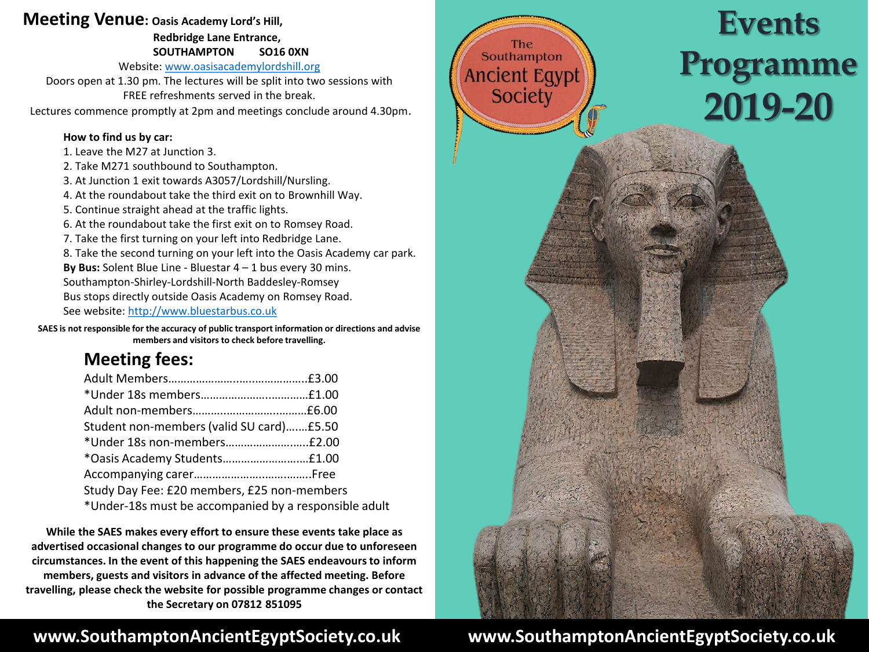## **Meeting Venue: Oasis Academy Lord's Hill,**

**Redbridge Lane Entrance, SOUTHAMPTON SO16 0XN**

Website: [www.oasisacademylordshill.org](http://www.oasisacademylrdshill.org/)

Doors open at 1.30 pm. The lectures will be split into two sessions with FREE refreshments served in the break.

Lectures commence promptly at 2pm and meetings conclude around 4.30pm.

### **How to find us by car:**

- 1. Leave the M27 at Junction 3.
- 2. Take M271 southbound to Southampton.
- 3. At Junction 1 exit towards A3057/Lordshill/Nursling.
- 4. At the roundabout take the third exit on to Brownhill Way.
- 5. Continue straight ahead at the traffic lights.
- 6. At the roundabout take the first exit on to Romsey Road.
- 7. Take the first turning on your left into Redbridge Lane.
- 8. Take the second turning on your left into the Oasis Academy car park.
- **By Bus:** Solent Blue Line Bluestar 4 1 bus every 30 mins. Southampton-Shirley-Lordshill-North Baddesley-Romsey
- Bus stops directly outside Oasis Academy on Romsey Road.
- See website: [http://www.bluestarbus.co.uk](http://www.bluestarbus.co.uk/)

**SAES is not responsible for the accuracy of public transport information or directions and advise members and visitors to check before travelling.**

# **Meeting fees:**

| Student non-members (valid SU card) £5.50             |  |
|-------------------------------------------------------|--|
|                                                       |  |
|                                                       |  |
|                                                       |  |
| Study Day Fee: £20 members, £25 non-members           |  |
| *Under-18s must be accompanied by a responsible adult |  |
|                                                       |  |

**While the SAES makes every effort to ensure these events take place as advertised occasional changes to our programme do occur due to unforeseen circumstances. In the event of this happening the SAES endeavours to inform members, guests and visitors in advance of the affected meeting. Before travelling, please check the website for possible programme changes or contact the Secretary on 07812 851095**

# **www.SouthamptonAncientEgyptSociety.co.uk**



# **www.SouthamptonAncientEgyptSociety.co.uk**